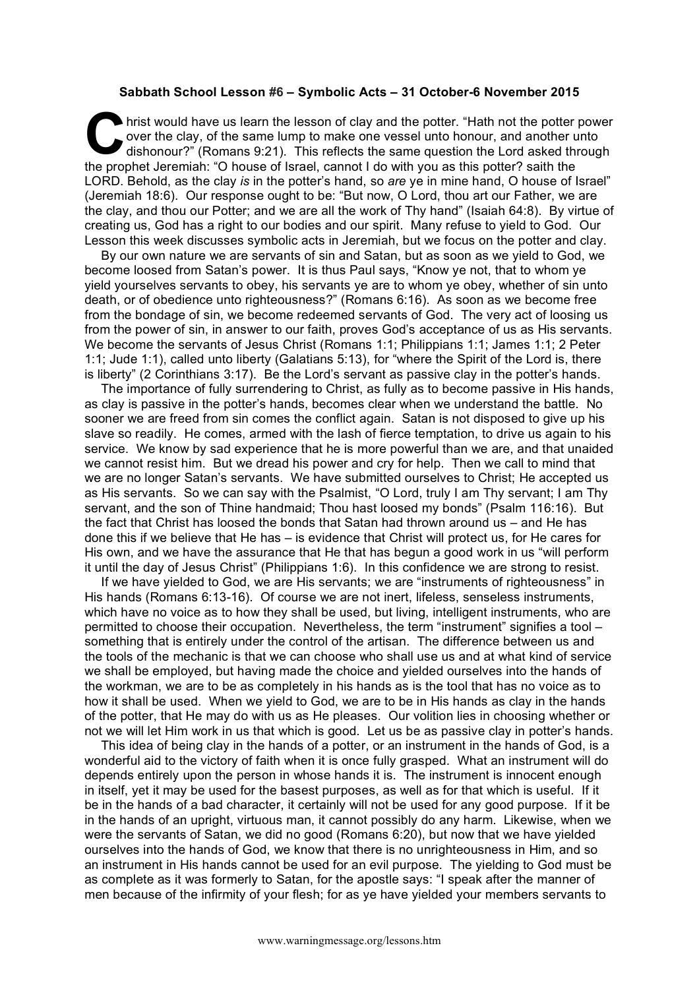## **Sabbath School Lesson #6 – Symbolic Acts – 31 October-6 November 2015**

hrist would have us learn the lesson of clay and the potter. "Hath not the potter power over the clay, of the same lump to make one vessel unto honour, and another unto dishonour?" (Romans 9:21). This reflects the same question the Lord asked through the prophet Jeremiah: "O house of Israel, cannot I do with you as this potter? saith the LORD. Behold, as the clay *is* in the potter's hand, so *are* ye in mine hand, O house of Israel" (Jeremiah 18:6). Our response ought to be: "But now, O Lord, thou art our Father, we are the clay, and thou our Potter; and we are all the work of Thy hand" (Isaiah 64:8). By virtue of creating us, God has a right to our bodies and our spirit. Many refuse to yield to God. Our Lesson this week discusses symbolic acts in Jeremiah, but we focus on the potter and clay. **C** bris

By our own nature we are servants of sin and Satan, but as soon as we yield to God, we become loosed from Satan's power. It is thus Paul says, "Know ye not, that to whom ye yield yourselves servants to obey, his servants ye are to whom ye obey, whether of sin unto death, or of obedience unto righteousness?" (Romans 6:16). As soon as we become free from the bondage of sin, we become redeemed servants of God. The very act of loosing us from the power of sin, in answer to our faith, proves God's acceptance of us as His servants. We become the servants of Jesus Christ (Romans 1:1; Philippians 1:1; James 1:1; 2 Peter 1:1; Jude 1:1), called unto liberty (Galatians 5:13), for "where the Spirit of the Lord is, there is liberty" (2 Corinthians 3:17). Be the Lord's servant as passive clay in the potter's hands.

The importance of fully surrendering to Christ, as fully as to become passive in His hands, as clay is passive in the potter's hands, becomes clear when we understand the battle. No sooner we are freed from sin comes the conflict again. Satan is not disposed to give up his slave so readily. He comes, armed with the lash of fierce temptation, to drive us again to his service. We know by sad experience that he is more powerful than we are, and that unaided we cannot resist him. But we dread his power and cry for help. Then we call to mind that we are no longer Satan's servants. We have submitted ourselves to Christ; He accepted us as His servants. So we can say with the Psalmist, "O Lord, truly I am Thy servant; I am Thy servant, and the son of Thine handmaid; Thou hast loosed my bonds" (Psalm 116:16). But the fact that Christ has loosed the bonds that Satan had thrown around us – and He has done this if we believe that He has – is evidence that Christ will protect us, for He cares for His own, and we have the assurance that He that has begun a good work in us "will perform it until the day of Jesus Christ" (Philippians 1:6). In this confidence we are strong to resist.

If we have yielded to God, we are His servants; we are "instruments of righteousness" in His hands (Romans 6:13-16). Of course we are not inert, lifeless, senseless instruments, which have no voice as to how they shall be used, but living, intelligent instruments, who are permitted to choose their occupation. Nevertheless, the term "instrument" signifies a tool – something that is entirely under the control of the artisan. The difference between us and the tools of the mechanic is that we can choose who shall use us and at what kind of service we shall be employed, but having made the choice and yielded ourselves into the hands of the workman, we are to be as completely in his hands as is the tool that has no voice as to how it shall be used. When we yield to God, we are to be in His hands as clay in the hands of the potter, that He may do with us as He pleases. Our volition lies in choosing whether or not we will let Him work in us that which is good. Let us be as passive clay in potter's hands.

This idea of being clay in the hands of a potter, or an instrument in the hands of God, is a wonderful aid to the victory of faith when it is once fully grasped. What an instrument will do depends entirely upon the person in whose hands it is. The instrument is innocent enough in itself, yet it may be used for the basest purposes, as well as for that which is useful. If it be in the hands of a bad character, it certainly will not be used for any good purpose. If it be in the hands of an upright, virtuous man, it cannot possibly do any harm. Likewise, when we were the servants of Satan, we did no good (Romans 6:20), but now that we have yielded ourselves into the hands of God, we know that there is no unrighteousness in Him, and so an instrument in His hands cannot be used for an evil purpose. The yielding to God must be as complete as it was formerly to Satan, for the apostle says: "I speak after the manner of men because of the infirmity of your flesh; for as ye have yielded your members servants to